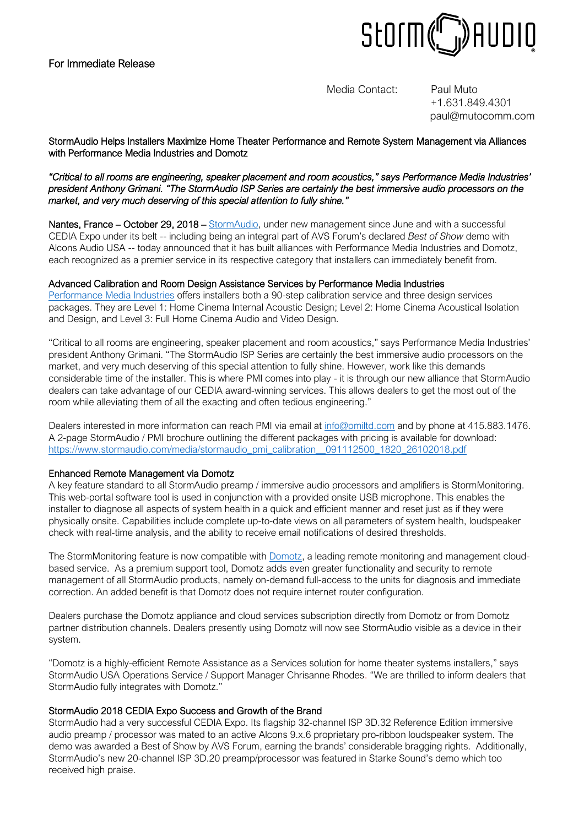# For Immediate Release



Media Contact: Paul Muto

+1.631.849.4301 paul@mutocomm.com

## StormAudio Helps Installers Maximize Home Theater Performance and Remote System Management via Alliances with Performance Media Industries and Domotz

#### *"Critical to all rooms are engineering, speaker placement and room acoustics," says Performance Media Industries' president Anthony Grimani. "The StormAudio ISP Series are certainly the best immersive audio processors on the market, and very much deserving of this special attention to fully shine."*

Nantes, France – October 29, 2018 – [StormAudio,](http://www.stormaudio.com/) under new management since June and with a successful CEDIA Expo under its belt -- including being an integral part of AVS Forum's declared *Best of Show* demo with Alcons Audio USA -- today announced that it has built alliances with Performance Media Industries and Domotz, each recognized as a premier service in its respective category that installers can immediately benefit from.

#### Advanced Calibration and Room Design Assistance Services by Performance Media Industries

[Performance Media Industries](http://pmiltd.com/) offers installers both a 90-step calibration service and three design services packages. They are Level 1: Home Cinema Internal Acoustic Design; Level 2: Home Cinema Acoustical Isolation and Design, and Level 3: Full Home Cinema Audio and Video Design.

"Critical to all rooms are engineering, speaker placement and room acoustics," says Performance Media Industries' president Anthony Grimani. "The StormAudio ISP Series are certainly the best immersive audio processors on the market, and very much deserving of this special attention to fully shine. However, work like this demands considerable time of the installer. This is where PMI comes into play - it is through our new alliance that StormAudio dealers can take advantage of our CEDIA award-winning services. This allows dealers to get the most out of the room while alleviating them of all the exacting and often tedious engineering."

Dealers interested in more information can reach PMI via email a[t info@pmiltd.com](mailto:info@pmiltd.com) and by phone at 415.883.1476. A 2-page StormAudio / PMI brochure outlining the different packages with pricing is available for download: https://www.stormaudio.com/media/stormaudio\_pmi\_calibration\_091112500\_1820\_26102018.pdf

### Enhanced Remote Management via Domotz

A key feature standard to all StormAudio preamp / immersive audio processors and amplifiers is StormMonitoring. This web-portal software tool is used in conjunction with a provided onsite USB microphone. This enables the installer to diagnose all aspects of system health in a quick and efficient manner and reset just as if they were physically onsite. Capabilities include complete up-to-date views on all parameters of system health, loudspeaker check with real-time analysis, and the ability to receive email notifications of desired thresholds.

The StormMonitoring feature is now compatible with **Domotz**, a leading remote monitoring and management cloudbased service. As a premium support tool, Domotz adds even greater functionality and security to remote management of all StormAudio products, namely on-demand full-access to the units for diagnosis and immediate correction. An added benefit is that Domotz does not require internet router configuration.

Dealers purchase the Domotz appliance and cloud services subscription directly from Domotz or from Domotz partner distribution channels. Dealers presently using Domotz will now see StormAudio visible as a device in their system.

"Domotz is a highly-efficient Remote Assistance as a Services solution for home theater systems installers," says StormAudio USA Operations Service / Support Manager Chrisanne Rhodes. "We are thrilled to inform dealers that StormAudio fully integrates with Domotz."

### StormAudio 2018 CEDIA Expo Success and Growth of the Brand

StormAudio had a very successful CEDIA Expo. Its flagship 32-channel ISP 3D.32 Reference Edition immersive audio preamp / processor was mated to an active Alcons 9.x.6 proprietary pro-ribbon loudspeaker system. The demo was awarded a Best of Show by AVS Forum, earning the brands' considerable bragging rights. Additionally, StormAudio's new 20-channel ISP 3D.20 preamp/processor was featured in Starke Sound's demo which too received high praise.